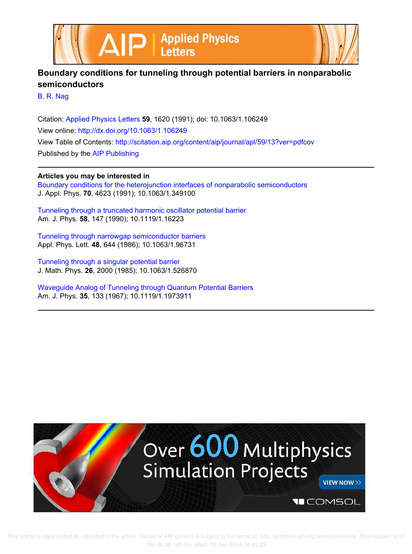



## **Boundary conditions for tunneling through potential barriers in nonparabolic semiconductors**

B. R. Nag

Citation: Applied Physics Letters **59**, 1620 (1991); doi: 10.1063/1.106249 View online: http://dx.doi.org/10.1063/1.106249 View Table of Contents: http://scitation.aip.org/content/aip/journal/apl/59/13?ver=pdfcov Published by the AIP Publishing

## **Articles you may be interested in**

Boundary conditions for the heterojunction interfaces of nonparabolic semiconductors J. Appl. Phys. **70**, 4623 (1991); 10.1063/1.349100

Tunneling through a truncated harmonic oscillator potential barrier Am. J. Phys. **58**, 147 (1990); 10.1119/1.16223

Tunneling through narrowgap semiconductor barriers Appl. Phys. Lett. **48**, 644 (1986); 10.1063/1.96731

Tunneling through a singular potential barrier J. Math. Phys. **26**, 2000 (1985); 10.1063/1.526870

Waveguide Analog of Tunneling through Quantum Potential Barriers Am. J. Phys. **35**, 133 (1967); 10.1119/1.1973911



 This article is copyrighted as indicated in the article. Reuse of AIP content is subject to the terms at: http://scitation.aip.org/termsconditions. Downloaded to IP: 130.88.90.140 On: Wed, 10 Dec 2014 00:43:29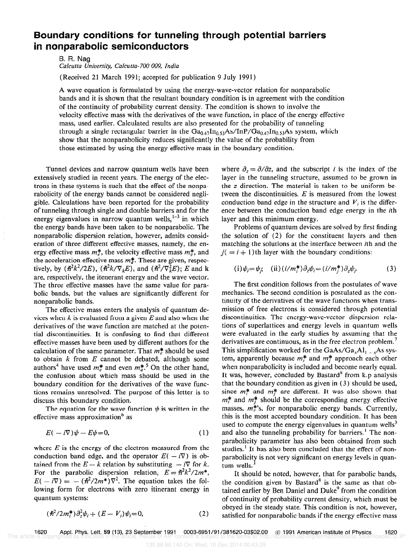## Boundary conditions for tunneling through potential barriers in nonparabolic semiconductors

B. R, Nag Calcutta University, Calcutta- 700 009, India

(Received 21 March 1991; accepted for publication 9 July 1991)

A wave equation is formulated by using the energy-wave-vector relation for nonparabolic bands and it is shown that the resultant boundary condition is in agreement with the condition of the continuity of probability current density. The condition is shown to involve the velocity effective mass with the derivatives of the wave function, in place of the energy effective mass, used earlier. Calculated results are also presented for the probability of tunneling through a single rectangular barrier in the  $Ga_{0.47}In_{0.53}As/InP/Ga_{0.47}In_{0.53}As$  system, which show that the nonparabolicity reduces significantly the value of the probability from those estimated by using the energy effective mass in the boundary condition.

Tunnel devices and narrow quantum wells have been extensively studied in recent years, The energy of the electrons in these systems is such that the effect of the nonparabolicity of the energy bands cannot be considered negligible. Calculations have been reported for the probability of tunneling through single and double barriers and for the energy eigenvalues in narrow quantum wells, $1-3$  in which the energy bands have been taken to be nonparabolic. The nonparabolic dispersion relation, however, admits consideration of three different effective masses, namely, the energy effective mass  $m_e^*$ , the velocity effective mass  $m_h^*$ , and the acceleration effective mass  $m_q^*$ . These are given, respectively, by  $(\hbar^2 k^2/2E)$ ,  $(\hbar^2 k/\nabla_k E)$ , and  $(\hbar^2/\nabla_k^2 E)$ ; E and k are, respectively, the itenerant energy and the wave vector. The three effective masses have the same value for parabolic bands, but the values are significantly different for nonparabolic bands.

The effective mass enters the analysis of quantum devices when  $k$  is evaluated from a given  $E$  and also when the derivatives of the wave function are matched at the potential discontinuities. It is confusing to find that different effective masses have been used by different authors for the calculation of the same parameter. That  $m^*$  should be used to obtain  $k$  from  $E$  cannot be debated, although some authors<sup>4</sup> have used  $m_e^*$  and even  $m_e^*$ <sup>5</sup> On the other hand, the confusion about which mass should be used in the boundary condition for the derivatives of the wave functions remains unresolved. The purpose of this letter is to discuss this boundary condition.

The equation for the wave function  $\psi$  is written in the effective mass approximation' as

$$
E(-i\nabla)\psi - E\psi = 0, \qquad (1)
$$

where  $E$  is the energy of the electron measured from the conduction band edge, and the operator  $E(-i\nabla)$  is obtained from the  $E - k$  relation by substituting  $- i \nabla$  for k. For the parabolic dispersion relation,  $E = \hbar^2 k^2 / 2m^*$ ,  $E(-i\nabla) = -(\hbar^2/2m^*)\nabla^2$ . The equation takes the following form for electrons with zero itinerant energy in quantum systems:

$$
(\hbar^2/2m_i^*)\partial_z^2\psi_i + (E - V_i)\psi_i = 0, \qquad (2)
$$

where  $\partial_z = \partial/\partial z$ , and the subscript *i* is the index of the layer in the tunneling structure, assumed to be grown in the z direction. The material is taken to be uniform between the discontinuities. E is measured from the lowest conduction band edge in the structure and  $V_i$  is the difference between the conduction band edge energy in the ith layer and this minimum energy.

Problems of quantum devices are solved by first finding the solution of (2) for the constituent layers and then matching the solutions at the interface between ith and the  $j( = i + 1)$ th layer with the boundary conditions:

$$
(i) \psi_i = \psi_j; \quad (ii) (i/m_i^*) \partial_z \psi_i = (i/m_j^*) \partial_z \psi_j.
$$
 (3)

The first condition follows from the postulates of wave mechanics. The second condition is postulated as the continuity of the derivatives of the wave functions when transmission of free electrons is considered through potential discontinuities. The energy-wave-vector dispersion relations of superlattices and energy levels in quantum wells were evaluated in the early studies by assuming that the derivatives are continuous, as in the free electron problem.' This simplification worked for the  $GaAs/Ga_xAl_1$ ,  $\rightarrow$  As system, apparently because  $m_l^*$  and  $m_l^*$  approach each other when nonparabolicity is included and become nearly equal. It was, however, concluded by Bastard<sup>8</sup> from k.p analysis that the boundary condition as given in (3) should be used, since  $m_t^*$  and  $m_t^*$  are different. It was also shown that  $m_t^*$  and  $m_t^*$  should be the corresponding energy effective masses,  $m_e^*$ 's, for nonparabolic energy bands. Currently, this is the most accepted boundary condition. It has been used to compute the energy eigenvalues in quantum wells<sup> $\delta$ </sup> and also the tunneling probability for barriers.' The nonparabolicity parameter has also been obtained from such studies.<sup>1</sup> It has also been concluded that the effect of nonparabolicity is not very significant on energy levels in quantum wells. $\frac{3}{2}$ 

It should be noted, however, that for parabolic bands, the condition given by Bastard<sup>8</sup> is the same as that obtained earlier by Ben Daniel and Duke<sup>9</sup> from the condition of continuity of probability current density, which must be obeyed in the steady state. This condition is not, however, satisfied for nonparabolic bands if the energy effective mass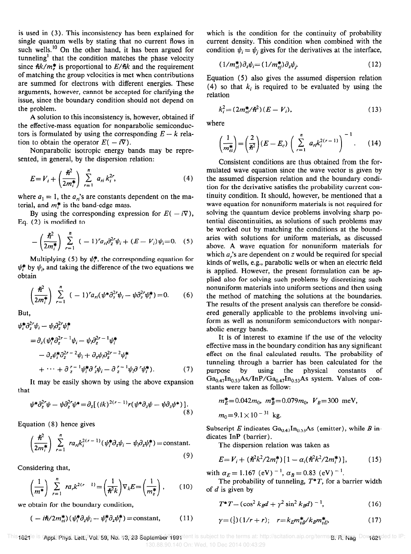is used in (3). This inconsistency has been explained for single quantum wells by stating that no current flows in such wells.<sup>10</sup> On the other hand, it has been argued for tunneling' that the condition matches the phase velocity since  $\hbar k/m_{e}^{*}$  is proportional to  $E/\hbar k$  and the requirement of matching the group velocities is met when contributions are summed for electrons with different energies. These arguments, however, cannot be accepted for clarifying the issue, since the boundary condition should not depend on the problem.

A solution to this inconsistency is, however, obtained if the effective-mass equation for nonparabolic semiconductors is formulated by using the corresponding  $E - k$  relation to obtain the operator  $E(-i\nabla)$ .

Nonparabolic isotropic energy bands may be represented, in general, by the dispersion relation:

$$
E = V_i + \left(\frac{\hbar^2}{2m_i^*}\right) \sum_{r=1}^n a_{ri} k_i^{2r}, \tag{4}
$$

where  $a_1 = 1$ , the  $a_n$ 's are constants dependent on the material, and  $m_t^*$  is the band-edge mass.

By using the corresponding expression for  $E(-i\nabla)$ , Eq. (2) is modified to

$$
-\left(\frac{\hbar^2}{2m_i^*}\right)\sum_{r=1}^n(-1)^r a_r \partial_z^{2r}\psi_i+(E-V_i)\psi_i=0.
$$
 (5)

Multiplying (5) by  $\psi_i^*$ , the corresponding equation for  $\psi_i^*$  by  $\psi_i$ , and taking the difference of the two equations we obtain

$$
\left(\frac{\hbar^2}{2m_i^*}\right)\sum_{r=1}^n(-1)^r a_{ri}(\psi^*\partial_z^{2r}\psi_i-\psi\partial_z^{2r}\psi_i^*)=0.
$$
 (6)

But,

$$
\psi_i^* \partial_z^{2r} \psi_i - \psi_i \partial_z^{2r} \psi_i^*
$$
\n
$$
= \partial_z (\psi_i^* \partial_z^{2r-1} \psi_i - \psi_i \partial_z^{2r-1} \psi_i^*
$$
\n
$$
- \partial_z \psi_i^* \partial_z^{2r-2} \psi_i + \partial_z \psi_i \partial_z^{2r-2} \psi_i^*
$$
\n
$$
+ \cdots + \partial_z^{r-1} \psi_i^* \partial_z^{r} \psi_i - \partial_z^{r-1} \psi_i \partial_r^{r} \psi_i^* ). \tag{7}
$$

It may be easily shown by using the above expansion that

$$
\psi^*\partial_z^{2r}\psi - \psi\partial_z^{2r}\psi^* = \partial_z[(ik)^{2(r-1)}r(\psi^*\partial_z\psi - \psi\partial_z\psi^*)].
$$
\n(8)

Equation (8) hence gives

$$
\left(\frac{\hbar^2}{2m_i^*}\right) \sum_{r=1}^n r a_{ri} k_i^{2(r-1)} (\psi_i^* \partial_z \psi_i - \psi_i \partial_z \psi_i^*) = \text{constant.}
$$
\n(9)

Considering that,

$$
\left(\frac{1}{m^*}\right)\sum_{r=1}^n ra_r k^{2(r-1)} = \left(\frac{1}{\hbar^2 k}\right)\nabla_k E = \left(\frac{1}{m_v^*}\right),\qquad(10)
$$

we obtain for the boundary condition,

$$
(-i\hbar/2m_{vi}^*)(\psi_i^*\partial_z\psi_i-\psi_i^*\partial_z\psi_i^*)=\text{constant},\qquad(11)
$$

which is the condition for the continuity of probability current density. This condition when combined with the condition  $\psi_i = \psi_j$  gives for the derivatives at the interface,

$$
(1/m_{vi}^*)\partial_z\psi_i = (1/m_{vj}^*)\partial_z\psi_j. \tag{12}
$$

Equation (5) also gives the assumed dispersion relation (4) so that  $k_i$  is required to be evaluated by using the relation

$$
k_i^2 = (2m_{ei}^*/\hbar^2)(E - V_i),
$$
\n(13)

where

$$
\left(\frac{1}{m_{ei}^*}\right) = \left(\frac{2}{\hbar^2}\right)(E - E_c) \left(\sum_{r=1}^n a_{ri} k_i^{2(r-1)}\right)^{-1}.
$$
 (14)

Consistent conditions are thus obtained from the formulated wave equation since the wave vector is given by the assumed dispersion relation and the boundary condition for the derivative satisfies the probability current continuity condition. It should, however, be mentioned that a wave equation for nonuniform materials is not required for solving the quantum device problems involving sharp potential discontinuities, as solutions of such problems may be worked out by matching the conditions at the boundaries with solutions for uniform materials, as discussed above. A wave equation for nonuniform materials for which  $a_i$ 's are dependent on z would be required for special kinds of wells, e.g., parabolic wells or when an electric field is applied. However, the present formulation can be applied also for solving such problems by discretizing such nonuniform materials into uniform sections and then using the method of matching the solutions at the boundaries. The results of the present analysis can therefore be considered generally applicable to the problems involving uniform as well as nonuniform semiconductors with nonparabolic energy bands.

It is of interest to examine if the use of the velocity effective mass in the boundary condition has any significant effect on the final calculated results. The probability of tunneling through a barrier has been calculated for the purpose by using the physical constants of  $Ga_{0.47}$ In<sub>0.53</sub>As/InP/Ga<sub>0.47</sub>In<sub>0.53</sub>As system. Values of constants were taken as follow:

$$
m_E^* = 0.042m_0
$$
,  $m_B^* = 0.079m_0$ ,  $V_B = 300$  meV,  
 $m_0 = 9.1 \times 10^{-31}$  kg.

Subscript E indicates  $Ga_{0.47}In_{0.53}As$  (emitter), while B indicates InP (barrier).

The dispersion relation was taken as

$$
E = V_i + (\hbar^2 k^2 / 2m_i^*) [1 - \alpha_i (\hbar^2 k^2 / 2m_i^*)], \qquad (15)
$$

with  $\alpha_E = 1.167$  (eV)<sup>-1</sup>,  $\alpha_B = 0.83$  (eV)<sup>-1</sup>.

The probability of tunneling,  $T^*T$ , for a barrier width of  $d$  is given by

$$
T^*T = (\cos^2 k_B d + \gamma^2 \sin^2 k_B d)^{-1}, \qquad (16)
$$

$$
\gamma = \left(\frac{1}{2}\right)\left(1/r + r\right); \quad r = k_E m_{vB}^* / k_B m_{vE}^* \tag{17}
$$

This regile is **Apprichtys. Lett. Vois 59, No. 13, 23 September 1991** tent is subject to the terms at: http://scitation.aip.org/terms.gr**r. in nag.** Downogaded to IP: 130.88.90.140 On: Wed, 10 Dec 2014 00:43:29